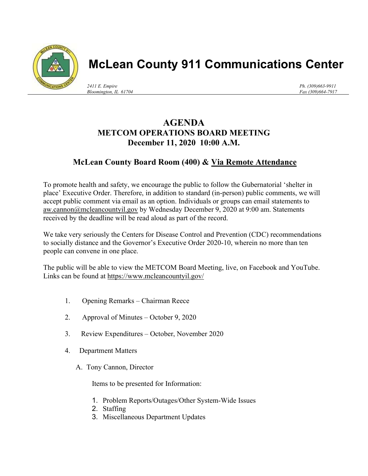

## McLean County 911 Communications Center

2411 E. Empire Bloomington, IL 61704 Ph. (309)663-9911 Fax (309)664-7917

## AGENDA METCOM OPERATIONS BOARD MEETING December 11, 2020 10:00 A.M.

## McLean County Board Room (400) & Via Remote Attendance

To promote health and safety, we encourage the public to follow the Gubernatorial 'shelter in place' Executive Order. Therefore, in addition to standard (in-person) public comments, we will accept public comment via email as an option. Individuals or groups can email statements to aw.cannon@mcleancountyil.gov by Wednesday December 9, 2020 at 9:00 am. Statements received by the deadline will be read aloud as part of the record.

We take very seriously the Centers for Disease Control and Prevention (CDC) recommendations to socially distance and the Governor's Executive Order 2020-10, wherein no more than ten people can convene in one place.

The public will be able to view the METCOM Board Meeting, live, on Facebook and YouTube. Links can be found at https://www.mcleancountyil.gov/

- 1. Opening Remarks Chairman Reece
- 2. Approval of Minutes October 9, 2020
- 3. Review Expenditures October, November 2020
- 4. Department Matters
	- A. Tony Cannon, Director

Items to be presented for Information:

- 1. Problem Reports/Outages/Other System-Wide Issues
- 2. Staffing
- 3. Miscellaneous Department Updates